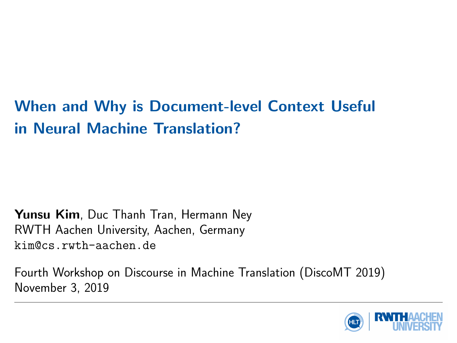# When and Why is Document-level Context Useful in Neural Machine Translation?

Yunsu Kim, Duc Thanh Tran, Hermann Ney RWTH Aachen University, Aachen, Germany kim@cs.rwth-aachen.de

Fourth Workshop on Discourse in Machine Translation (DiscoMT 2019) November 3, 2019

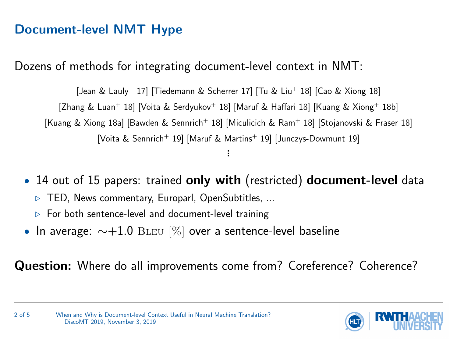<span id="page-1-0"></span>Dozens of methods for integrating document-level context in NMT:

[\[Jean & Lauly](#page-5-0)<sup>+</sup> 17] [\[Tiedemann & Scherrer 17\]](#page-6-0) [\[Tu & Liu](#page-6-1)<sup>+</sup> 18] [\[Cao & Xiong 18\]](#page-5-1) [\[Zhang & Luan](#page-7-0)<sup>+</sup> 18] [\[Voita & Serdyukov](#page-6-2)<sup>+</sup> 18] [\[Maruf & Haffari 18\]](#page-5-2) [\[Kuang & Xiong](#page-5-3)<sup>+</sup> 18b] [\[Kuang & Xiong 18a\]](#page-5-4) [\[Bawden & Sennrich](#page-5-5)<sup>+</sup> 18] [\[Miculicich & Ram](#page-6-3)<sup>+</sup> 18] [\[Stojanovski & Fraser 18\]](#page-6-4) [\[Voita & Sennrich](#page-6-5)<sup>+</sup> 19] [\[Maruf & Martins](#page-6-6)<sup>+</sup> 19] [\[Junczys-Dowmunt 19\]](#page-5-6) .<br>.<br>.

• 14 out of 15 papers: trained only with (restricted) document-level data

- $\triangleright$  TED, News commentary, Europarl, OpenSubtitles, ...
- $\triangleright$  For both sentence-level and document-level training
- In average:  $\sim +1.0$  BLEU [%] over a sentence-level baseline

Question: Where do all improvements come from? Coreference? Coherence?

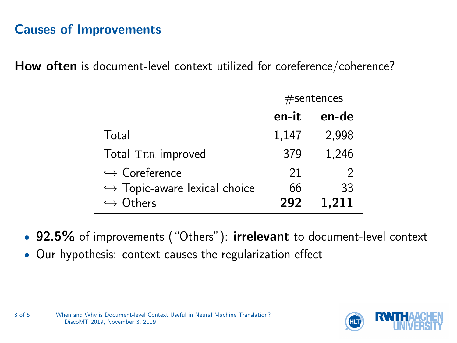<span id="page-2-0"></span>How often is document-level context utilized for coreference/coherence?

|                                              | $#$ sentences |       |  |
|----------------------------------------------|---------------|-------|--|
|                                              | en-it         | en-de |  |
| Total                                        | 1,147         | 2,998 |  |
| Total TER improved                           | 379           | 1,246 |  |
| $\hookrightarrow$ Coreference                | 21            |       |  |
| $\hookrightarrow$ Topic-aware lexical choice | 66            | 33    |  |
| $\hookrightarrow$ Others                     | 292           | 1.211 |  |

- 92.5% of improvements ("Others"): irrelevant to document-level context
- Our hypothesis: context causes the regularization effect

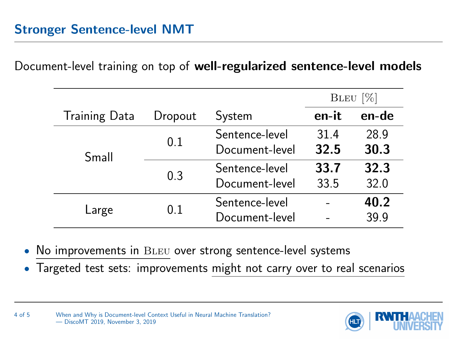<span id="page-3-0"></span>Document-level training on top of well-regularized sentence-level models

|                      |         |                                  | $BLEU$ [%]   |              |
|----------------------|---------|----------------------------------|--------------|--------------|
| <b>Training Data</b> | Dropout | System                           | en-it        | en-de        |
| Small                | 0.1     | Sentence-level<br>Document-level | 31.4<br>32.5 | 28.9<br>30.3 |
|                      | 0.3     | Sentence-level<br>Document-level | 33.7<br>33.5 | 32.3<br>32.0 |
| Large                | 0.1     | Sentence-level<br>Document-level |              | 40.2<br>39.9 |

- No improvements in BLEU over strong sentence-level systems
- Targeted test sets: improvements might not carry over to real scenarios

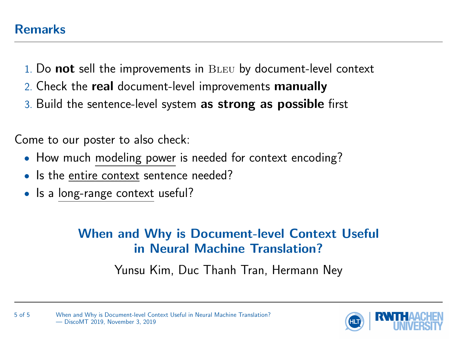- <span id="page-4-0"></span>1. Do not sell the improvements in BLEU by document-level context
- 2. Check the **real** document-level improvements **manually**
- 3. Build the sentence-level system as strong as possible first

Come to our poster to also check:

- How much modeling power is needed for context encoding?
- Is the entire context sentence needed?
- Is a long-range context useful?

## When and Why is Document-level Context Useful in Neural Machine Translation?

Yunsu Kim, Duc Thanh Tran, Hermann Ney



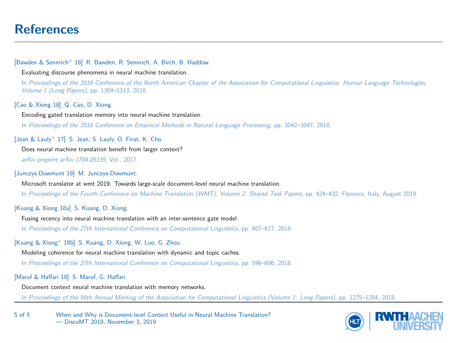### <span id="page-5-7"></span>[References](#page-5-7)

#### <span id="page-5-5"></span>[Bawden & Sennrich<sup>+</sup> 18] R. Bawden, R. Sennrich, A. Birch, B. Haddow.

Evaluating discourse phenomena in neural machine translation.

In Proceedings of the 2018 Conference of the North American Chapter of the Association for Computational Linguistics: Human Language Technologies, Volume 1 (Long Papers), pp. 1304–1313, 2018.

<span id="page-5-1"></span>[Cao & Xiong 18] Q. Cao, D. Xiong.

Encoding gated translation memory into neural machine translation. In Proceedings of the 2018 Conference on Empirical Methods in Natural Language Processing, pp. 3042–3047, 2018.

<span id="page-5-0"></span>[Jean & Lauly<sup>+</sup> 17] S. Jean, S. Lauly, O. Firat, K. Cho.

Does neural machine translation benefit from larger context?

arXiv preprint arXiv:1704.05135, Vol., 2017.

<span id="page-5-6"></span>[Junczys-Dowmunt 19] M. Junczys-Dowmunt.

Microsoft translator at wmt 2019: Towards large-scale document-level neural machine translation.

In Proceedings of the Fourth Conference on Machine Translation (WMT), Volume 2: Shared Task Papers, pp. 424–432, Florence, Italy, August 2019.

### <span id="page-5-4"></span>[Kuang & Xiong 18a] S. Kuang, D. Xiong.

Fusing recency into neural machine translation with an inter-sentence gate model. In Proceedings of the 27th International Conference on Computational Linguistics, pp. 607–617, 2018.

### <span id="page-5-3"></span>[Kuang & Xiong<sup>+</sup> 18b] S. Kuang, D. Xiong, W. Luo, G. Zhou.

Modeling coherence for neural machine translation with dynamic and topic caches.

In Proceedings of the 27th International Conference on Computational Linguistics, pp. 596–606, 2018.

### <span id="page-5-2"></span>[Maruf & Haffari 18] S. Maruf, G. Haffari.

Document context neural machine translation with memory networks.

In Proceedings of the 56th Annual Meeting of the Association for Computational Linguistics (Volume 1: Long Papers), pp. 1275–1284, 2018.

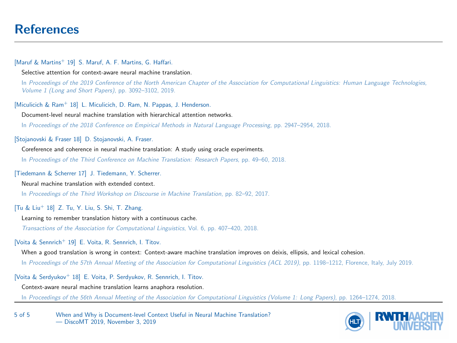### [References](#page-5-7)

#### <span id="page-6-6"></span>[Maruf & Martins<sup>+</sup> 19] S. Maruf, A. F. Martins, G. Haffari.

Selective attention for context-aware neural machine translation.

In Proceedings of the 2019 Conference of the North American Chapter of the Association for Computational Linguistics: Human Language Technologies, Volume 1 (Long and Short Papers), pp. 3092–3102, 2019.

<span id="page-6-3"></span>[Miculicich & Ram<sup>+</sup> 18] L. Miculicich, D. Ram, N. Pappas, J. Henderson.

Document-level neural machine translation with hierarchical attention networks.

In Proceedings of the 2018 Conference on Empirical Methods in Natural Language Processing, pp. 2947–2954, 2018.

<span id="page-6-4"></span>[Stojanovski & Fraser 18] D. Stojanovski, A. Fraser.

Coreference and coherence in neural machine translation: A study using oracle experiments.

In Proceedings of the Third Conference on Machine Translation: Research Papers, pp. 49–60, 2018.

### <span id="page-6-0"></span>[Tiedemann & Scherrer 17] J. Tiedemann, Y. Scherrer.

Neural machine translation with extended context.

In Proceedings of the Third Workshop on Discourse in Machine Translation, pp. 82–92, 2017.

### <span id="page-6-1"></span>[Tu & Liu<sup>+</sup> 18] Z. Tu, Y. Liu, S. Shi, T. Zhang.

Learning to remember translation history with a continuous cache.

Transactions of the Association for Computational Linguistics, Vol. 6, pp. 407–420, 2018.

### <span id="page-6-5"></span>[Voita & Sennrich<sup>+</sup> 19] E. Voita, R. Sennrich, I. Titov.

When a good translation is wrong in context: Context-aware machine translation improves on deixis, ellipsis, and lexical cohesion.

In Proceedings of the 57th Annual Meeting of the Association for Computational Linguistics (ACL 2019), pp. 1198–1212, Florence, Italy, July 2019.

### <span id="page-6-2"></span>[Voita & Serdyukov<sup>+</sup> 18] E. Voita, P. Serdyukov, R. Sennrich, I. Titov.

Context-aware neural machine translation learns anaphora resolution.

In Proceedings of the 56th Annual Meeting of the Association for Computational Linguistics (Volume 1: Long Papers), pp. 1264–1274, 2018.